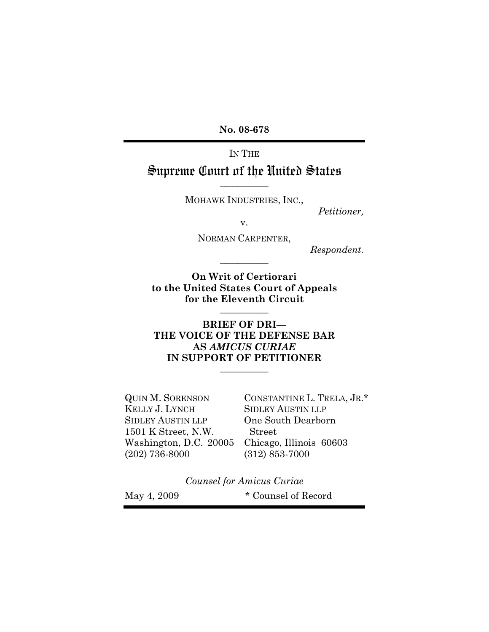**No. 08-678** 

# IN THE Supreme Court of the United States

MOHAWK INDUSTRIES, INC.,

**\_\_\_\_\_\_\_\_\_\_\_** 

*Petitioner,* 

v.

NORMAN CARPENTER,

**\_\_\_\_\_\_\_\_\_\_\_** 

*Respondent.* 

**On Writ of Certiorari to the United States Court of Appeals for the Eleventh Circuit** 

**\_\_\_\_\_\_\_\_\_\_\_** 

### **BRIEF OF DRI— THE VOICE OF THE DEFENSE BAR AS** *AMICUS CURIAE* **IN SUPPORT OF PETITIONER**

**\_\_\_\_\_\_\_\_\_\_\_** 

SIDLEY AUSTIN LLP One South Dearborn 1501 K Street, N.W. Street Washington, D.C. 20005 Chicago, Illinois 60603 (202) 736-8000 (312) 853-7000

QUIN M. SORENSON CONSTANTINE L. TRELA, JR.\*<br>KELLY J. LYNCH SIDLEY AUSTIN LLP **SIDLEY AUSTIN LLP** 

*Counsel for Amicus Curiae* 

May 4, 2009  $\bullet$  Counsel of Record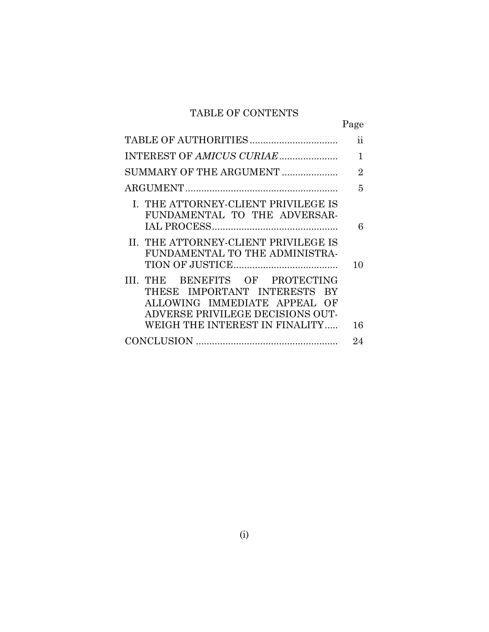## TABLE OF CONTENTS

|                                                                                                                                                                       | Page                |
|-----------------------------------------------------------------------------------------------------------------------------------------------------------------------|---------------------|
|                                                                                                                                                                       | $\ddot{\textbf{i}}$ |
|                                                                                                                                                                       | 1                   |
| SUMMARY OF THE ARGUMENT                                                                                                                                               | $\overline{2}$      |
|                                                                                                                                                                       | 5                   |
| I. THE ATTORNEY-CLIENT PRIVILEGE IS<br>FUNDAMENTAL TO THE ADVERSAR-                                                                                                   | 6                   |
| II. THE ATTORNEY-CLIENT PRIVILEGE IS<br>FUNDAMENTAL TO THE ADMINISTRA-                                                                                                | 10                  |
| III. THE BENEFITS OF PROTECTING<br>THESE IMPORTANT INTERESTS BY<br>ALLOWING IMMEDIATE APPEAL OF<br>ADVERSE PRIVILEGE DECISIONS OUT-<br>WEIGH THE INTEREST IN FINALITY | 16                  |
|                                                                                                                                                                       | 24                  |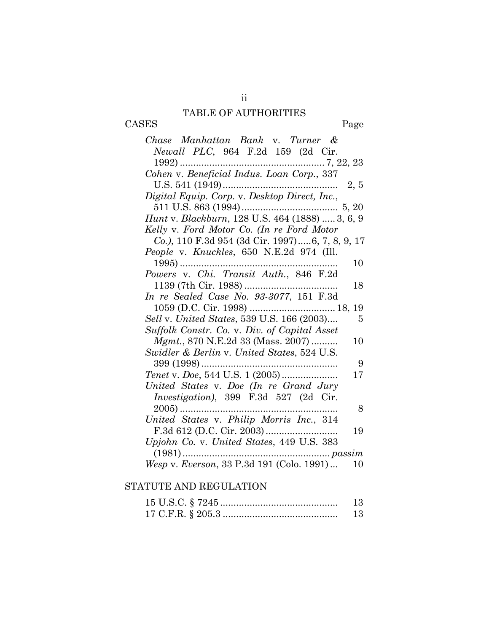## TABLE OF AUTHORITIES

CASES Page

| Chase Manhattan Bank v. Turner &                           |
|------------------------------------------------------------|
| Newall PLC, 964 F.2d 159 (2d Cir.                          |
|                                                            |
| Cohen v. Beneficial Indus. Loan Corp., 337                 |
| 2, 5                                                       |
| Digital Equip. Corp. v. Desktop Direct, Inc.,              |
|                                                            |
| Hunt v. Blackburn, 128 U.S. 464 (1888)  3, 6, 9            |
| Kelly v. Ford Motor Co. (In re Ford Motor                  |
| Co.), 110 F.3d 954 (3d Cir. 1997)6, 7, 8, 9, 17            |
| People v. Knuckles, 650 N.E.2d 974 (Ill.                   |
| $1995)$<br>10                                              |
| Powers v. Chi. Transit Auth., 846 F.2d                     |
| 18                                                         |
| In re Sealed Case No. 93-3077, 151 F.3d                    |
| 19                                                         |
| Sell v. United States, 539 U.S. 166 (2003)<br>5            |
| Suffolk Constr. Co. v. Div. of Capital Asset               |
| Mgmt., 870 N.E.2d 33 (Mass. 2007)<br>10                    |
| Swidler & Berlin v. United States, 524 U.S.                |
| 9<br>399 (1998)<br>.                                       |
| 17                                                         |
|                                                            |
| United States v. Doe (In re Grand Jury                     |
| Investigation), 399 F.3d 527 (2d Cir.                      |
| $2005)$<br>8                                               |
| United States v. Philip Morris Inc., 314                   |
| 19                                                         |
| Upjohn Co. v. United States, 449 U.S. 383                  |
| <i>passim</i><br>Wesp v. Everson, 33 P.3d 191 (Colo. 1991) |

## STATUTE AND REGULATION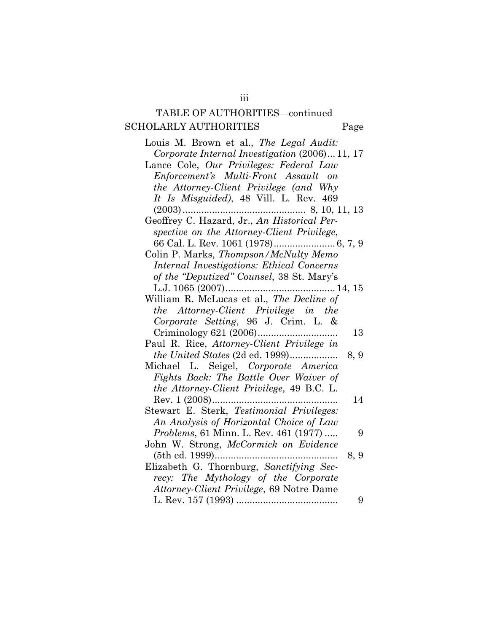## TABLE OF AUTHORITIES—continued SCHOLARLY AUTHORITIES Page

Louis M. Brown et al., *The Legal Audit: Corporate Internal Investigation* (2006)... 11, 17 Lance Cole, *Our Privileges: Federal Law Enforcement's Multi-Front Assault on the Attorney-Client Privilege (and Why It Is Misguided)*, 48 Vill. L. Rev. 469 (2003).............................................. 8, 10, 11, 13 Geoffrey C. Hazard, Jr., *An Historical Perspective on the Attorney-Client Privilege*, 66 Cal. L. Rev. 1061 (1978)....................... 6, 7, 9 Colin P. Marks, *Thompson/McNulty Memo Internal Investigations: Ethical Concerns of the "Deputized" Counsel*, 38 St. Mary's L.J. 1065 (2007)......................................... 14, 15 William R. McLucas et al., *The Decline of the Attorney-Client Privilege in the Corporate Setting*, 96 J. Crim. L. & Criminology 621 (2006).............................. 13 Paul R. Rice, *Attorney-Client Privilege in the United States* (2d ed. 1999).................. 8, 9 Michael L. Seigel, *Corporate America Fights Back: The Battle Over Waiver of the Attorney-Client Privilege*, 49 B.C. L. Rev. 1 (2008)............................................... 14 Stewart E. Sterk, *Testimonial Privileges: An Analysis of Horizontal Choice of Law Problems*, 61 Minn. L. Rev. 461 (1977) ..... 9 John W. Strong, *McCormick on Evidence* (5th ed. 1999).............................................. 8, 9 Elizabeth G. Thornburg, *Sanctifying Secrecy: The Mythology of the Corporate Attorney-Client Privilege*, 69 Notre Dame L. Rev. 157 (1993) ...................................... 9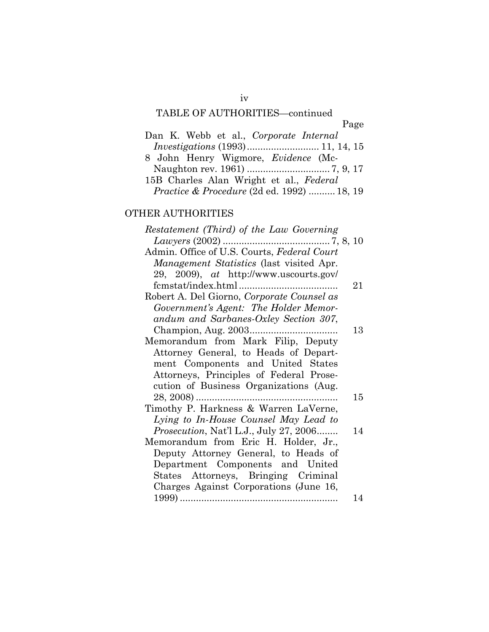# TABLE OF AUTHORITIES—continued

|                                                       | Page |
|-------------------------------------------------------|------|
| Dan K. Webb et al., Corporate Internal                |      |
|                                                       |      |
| 8 John Henry Wigmore, <i>Evidence</i> (Mc-            |      |
|                                                       |      |
| 15B Charles Alan Wright et al., Federal               |      |
| <i>Practice &amp; Procedure</i> (2d ed. 1992)  18, 19 |      |

## OTHER AUTHORITIES

| Restatement (Third) of the Law Governing      |    |
|-----------------------------------------------|----|
|                                               |    |
| Admin. Office of U.S. Courts, Federal Court   |    |
| Management Statistics (last visited Apr.      |    |
| 29, 2009), at http://www.uscourts.gov/        |    |
|                                               | 21 |
| Robert A. Del Giorno, Corporate Counsel as    |    |
| Government's Agent: The Holder Memor-         |    |
| andum and Sarbanes-Oxley Section 307,         |    |
|                                               | 13 |
| Memorandum from Mark Filip, Deputy            |    |
| Attorney General, to Heads of Depart-         |    |
| ment Components and United States             |    |
| Attorneys, Principles of Federal Prose-       |    |
| cution of Business Organizations (Aug.        |    |
|                                               | 15 |
| Timothy P. Harkness & Warren LaVerne,         |    |
| Lying to In-House Counsel May Lead to         |    |
| <i>Prosecution, Nat'l L.J., July 27, 2006</i> | 14 |
| Memorandum from Eric H. Holder, Jr.,          |    |
| Deputy Attorney General, to Heads of          |    |
| Department Components and United              |    |
| States Attorneys, Bringing Criminal           |    |
| Charges Against Corporations (June 16,        |    |
|                                               | 14 |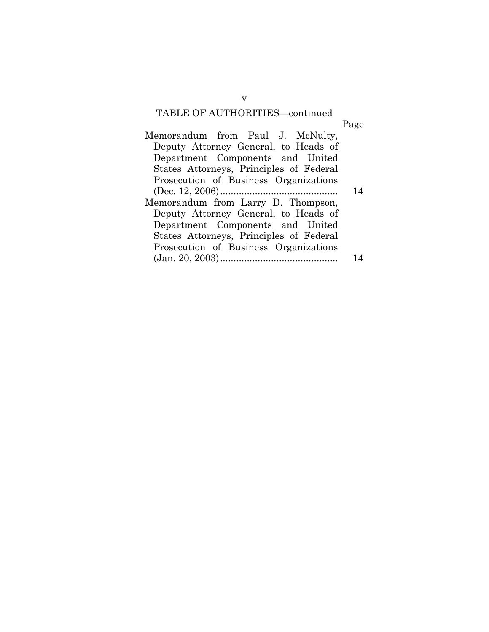## TABLE OF AUTHORITIES—continued

| Memorandum from Paul J. McNulty,        |    |
|-----------------------------------------|----|
| Deputy Attorney General, to Heads of    |    |
| Department Components and United        |    |
| States Attorneys, Principles of Federal |    |
| Prosecution of Business Organizations   |    |
|                                         | 14 |
| Memorandum from Larry D. Thompson,      |    |
| Deputy Attorney General, to Heads of    |    |
| Department Components and United        |    |
| States Attorneys, Principles of Federal |    |
| Prosecution of Business Organizations   |    |
|                                         |    |
|                                         |    |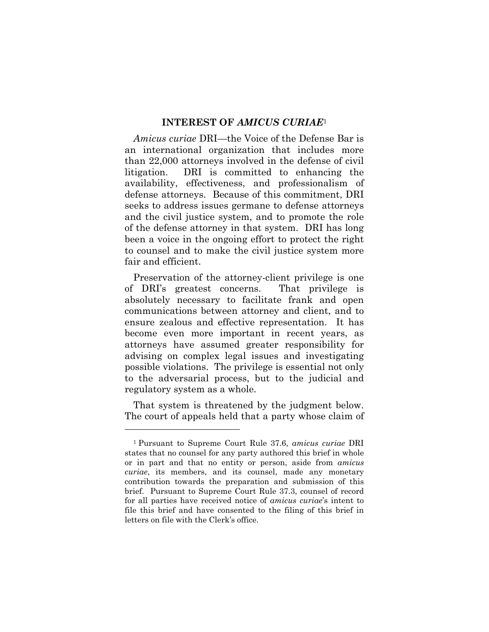#### **INTEREST OF** *AMICUS CURIAE*<sup>1</sup>

*Amicus curiae* DRI—the Voice of the Defense Bar is an international organization that includes more than 22,000 attorneys involved in the defense of civil litigation. DRI is committed to enhancing the availability, effectiveness, and professionalism of defense attorneys. Because of this commitment, DRI seeks to address issues germane to defense attorneys and the civil justice system, and to promote the role of the defense attorney in that system. DRI has long been a voice in the ongoing effort to protect the right to counsel and to make the civil justice system more fair and efficient.

Preservation of the attorney-client privilege is one of DRI's greatest concerns. That privilege is absolutely necessary to facilitate frank and open communications between attorney and client, and to ensure zealous and effective representation. It has become even more important in recent years, as attorneys have assumed greater responsibility for advising on complex legal issues and investigating possible violations. The privilege is essential not only to the adversarial process, but to the judicial and regulatory system as a whole.

That system is threatened by the judgment below. The court of appeals held that a party whose claim of

l

<sup>1</sup> Pursuant to Supreme Court Rule 37.6, *amicus curiae* DRI states that no counsel for any party authored this brief in whole or in part and that no entity or person, aside from *amicus curiae*, its members, and its counsel, made any monetary contribution towards the preparation and submission of this brief. Pursuant to Supreme Court Rule 37.3, counsel of record for all parties have received notice of *amicus curiae*'s intent to file this brief and have consented to the filing of this brief in letters on file with the Clerk's office.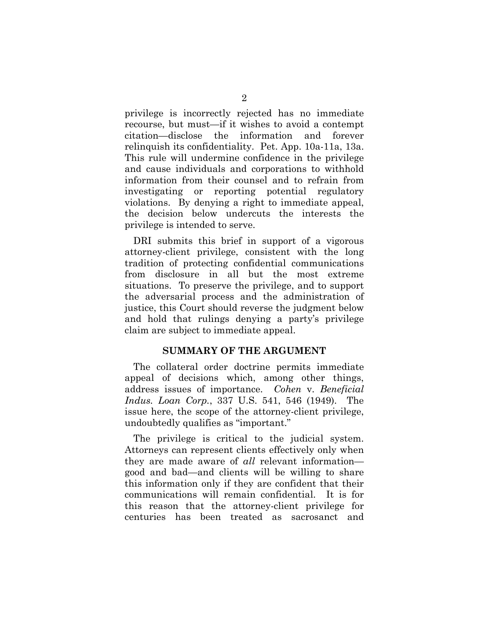privilege is incorrectly rejected has no immediate recourse, but must—if it wishes to avoid a contempt citation—disclose the information and forever relinquish its confidentiality. Pet. App. 10a-11a, 13a. This rule will undermine confidence in the privilege and cause individuals and corporations to withhold information from their counsel and to refrain from investigating or reporting potential regulatory violations. By denying a right to immediate appeal, the decision below undercuts the interests the privilege is intended to serve.

DRI submits this brief in support of a vigorous attorney-client privilege, consistent with the long tradition of protecting confidential communications from disclosure in all but the most extreme situations. To preserve the privilege, and to support the adversarial process and the administration of justice, this Court should reverse the judgment below and hold that rulings denying a party's privilege claim are subject to immediate appeal.

#### **SUMMARY OF THE ARGUMENT**

The collateral order doctrine permits immediate appeal of decisions which, among other things, address issues of importance. *Cohen* v. *Beneficial Indus. Loan Corp.*, 337 U.S. 541, 546 (1949). The issue here, the scope of the attorney-client privilege, undoubtedly qualifies as "important."

The privilege is critical to the judicial system. Attorneys can represent clients effectively only when they are made aware of *all* relevant information good and bad—and clients will be willing to share this information only if they are confident that their communications will remain confidential. It is for this reason that the attorney-client privilege for centuries has been treated as sacrosanct and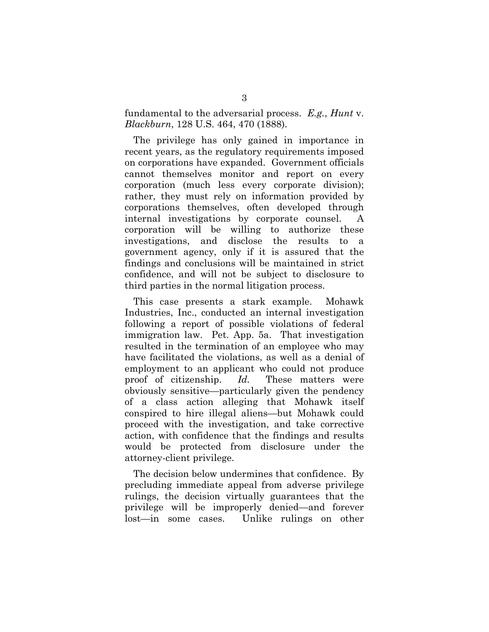fundamental to the adversarial process. *E.g.*, *Hunt* v. *Blackburn*, 128 U.S. 464, 470 (1888).

The privilege has only gained in importance in recent years, as the regulatory requirements imposed on corporations have expanded. Government officials cannot themselves monitor and report on every corporation (much less every corporate division); rather, they must rely on information provided by corporations themselves, often developed through internal investigations by corporate counsel. A corporation will be willing to authorize these investigations, and disclose the results to a government agency, only if it is assured that the findings and conclusions will be maintained in strict confidence, and will not be subject to disclosure to third parties in the normal litigation process.

This case presents a stark example. Mohawk Industries, Inc., conducted an internal investigation following a report of possible violations of federal immigration law. Pet. App. 5a. That investigation resulted in the termination of an employee who may have facilitated the violations, as well as a denial of employment to an applicant who could not produce proof of citizenship. *Id.* These matters were obviously sensitive—particularly given the pendency of a class action alleging that Mohawk itself conspired to hire illegal aliens—but Mohawk could proceed with the investigation, and take corrective action, with confidence that the findings and results would be protected from disclosure under the attorney-client privilege.

The decision below undermines that confidence. By precluding immediate appeal from adverse privilege rulings, the decision virtually guarantees that the privilege will be improperly denied—and forever lost—in some cases. Unlike rulings on other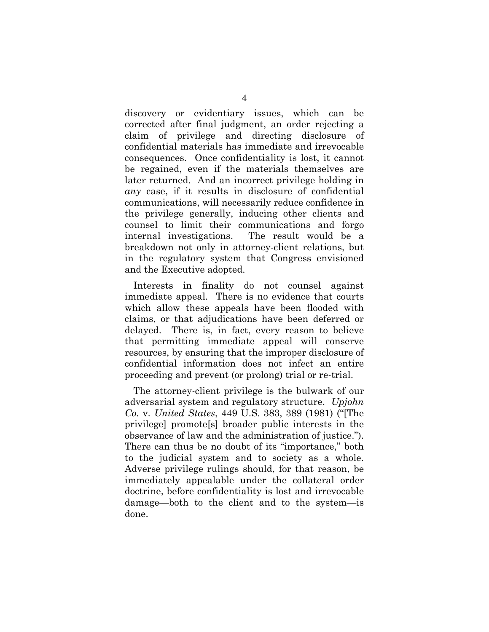discovery or evidentiary issues, which can be corrected after final judgment, an order rejecting a claim of privilege and directing disclosure of confidential materials has immediate and irrevocable consequences. Once confidentiality is lost, it cannot be regained, even if the materials themselves are later returned. And an incorrect privilege holding in *any* case, if it results in disclosure of confidential communications, will necessarily reduce confidence in the privilege generally, inducing other clients and counsel to limit their communications and forgo internal investigations. The result would be a breakdown not only in attorney-client relations, but in the regulatory system that Congress envisioned and the Executive adopted.

Interests in finality do not counsel against immediate appeal. There is no evidence that courts which allow these appeals have been flooded with claims, or that adjudications have been deferred or delayed. There is, in fact, every reason to believe that permitting immediate appeal will conserve resources, by ensuring that the improper disclosure of confidential information does not infect an entire proceeding and prevent (or prolong) trial or re-trial.

The attorney-client privilege is the bulwark of our adversarial system and regulatory structure. *Upjohn Co.* v. *United States*, 449 U.S. 383, 389 (1981) ("[The privilege] promote[s] broader public interests in the observance of law and the administration of justice."). There can thus be no doubt of its "importance," both to the judicial system and to society as a whole. Adverse privilege rulings should, for that reason, be immediately appealable under the collateral order doctrine, before confidentiality is lost and irrevocable damage—both to the client and to the system—is done.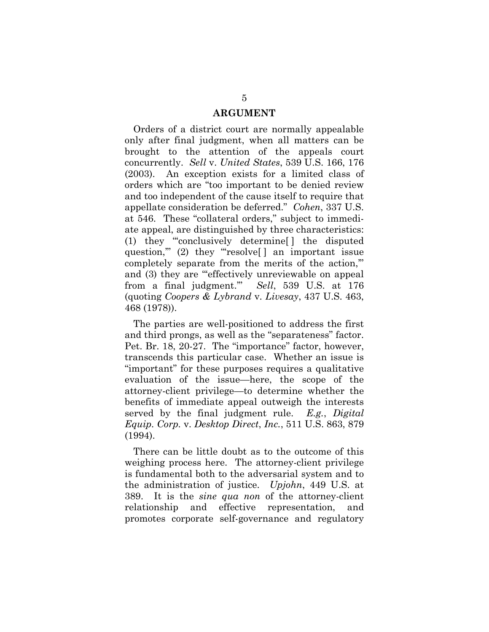#### **ARGUMENT**

Orders of a district court are normally appealable only after final judgment, when all matters can be brought to the attention of the appeals court concurrently. *Sell* v. *United States*, 539 U.S. 166, 176 (2003). An exception exists for a limited class of orders which are "too important to be denied review and too independent of the cause itself to require that appellate consideration be deferred." *Cohen*, 337 U.S. at 546. These "collateral orders," subject to immediate appeal, are distinguished by three characteristics: (1) they "'conclusively determine[ ] the disputed question," (2) they "resolve<sup>[]</sup> an important issue completely separate from the merits of the action,'" and (3) they are ""effectively unreviewable on appeal from a final judgment.'" *Sell*, 539 U.S. at 176 (quoting *Coopers & Lybrand* v. *Livesay*, 437 U.S. 463, 468 (1978)).

The parties are well-positioned to address the first and third prongs, as well as the "separateness" factor. Pet. Br. 18, 20-27. The "importance" factor, however, transcends this particular case. Whether an issue is "important" for these purposes requires a qualitative evaluation of the issue—here, the scope of the attorney-client privilege—to determine whether the benefits of immediate appeal outweigh the interests served by the final judgment rule. *E.g.*, *Digital Equip. Corp.* v. *Desktop Direct*, *Inc.*, 511 U.S. 863, 879 (1994).

There can be little doubt as to the outcome of this weighing process here. The attorney-client privilege is fundamental both to the adversarial system and to the administration of justice. *Upjohn*, 449 U.S. at 389. It is the *sine qua non* of the attorney-client relationship and effective representation, and promotes corporate self-governance and regulatory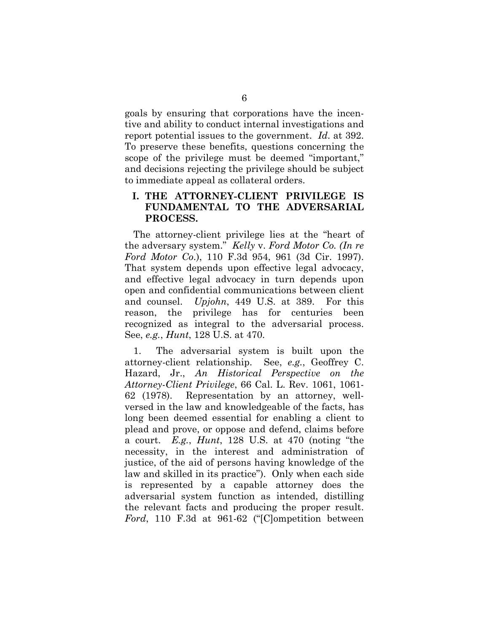goals by ensuring that corporations have the incentive and ability to conduct internal investigations and report potential issues to the government. *Id*. at 392. To preserve these benefits, questions concerning the scope of the privilege must be deemed "important," and decisions rejecting the privilege should be subject to immediate appeal as collateral orders.

#### **I. THE ATTORNEY-CLIENT PRIVILEGE IS FUNDAMENTAL TO THE ADVERSARIAL PROCESS.**

The attorney-client privilege lies at the "heart of the adversary system." *Kelly* v. *Ford Motor Co. (In re Ford Motor Co*.), 110 F.3d 954, 961 (3d Cir. 1997). That system depends upon effective legal advocacy, and effective legal advocacy in turn depends upon open and confidential communications between client and counsel. *Upjohn*, 449 U.S. at 389. For this reason, the privilege has for centuries been recognized as integral to the adversarial process. See, *e.g.*, *Hunt*, 128 U.S. at 470.

1. The adversarial system is built upon the attorney-client relationship. See, *e.g.*, Geoffrey C. Hazard, Jr., *An Historical Perspective on the Attorney-Client Privilege*, 66 Cal. L. Rev. 1061, 1061- 62 (1978). Representation by an attorney, wellversed in the law and knowledgeable of the facts, has long been deemed essential for enabling a client to plead and prove, or oppose and defend, claims before a court. *E.g.*, *Hunt*, 128 U.S. at 470 (noting "the necessity, in the interest and administration of justice, of the aid of persons having knowledge of the law and skilled in its practice"). Only when each side is represented by a capable attorney does the adversarial system function as intended, distilling the relevant facts and producing the proper result. *Ford*, 110 F.3d at 961-62 ("[C]ompetition between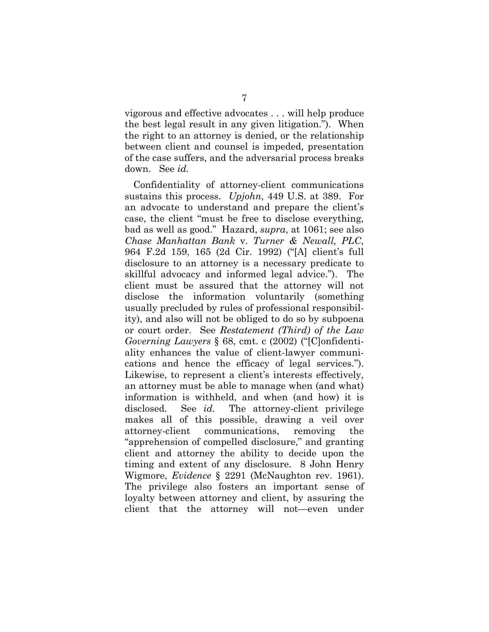vigorous and effective advocates . . . will help produce the best legal result in any given litigation."). When the right to an attorney is denied, or the relationship between client and counsel is impeded, presentation of the case suffers, and the adversarial process breaks down. See *id.* 

Confidentiality of attorney-client communications sustains this process. *Upjohn*, 449 U.S. at 389. For an advocate to understand and prepare the client's case, the client "must be free to disclose everything, bad as well as good." Hazard, *supra*, at 1061; see also *Chase Manhattan Bank* v. *Turner & Newall, PLC*, 964 F.2d 159, 165 (2d Cir. 1992) ("[A] client's full disclosure to an attorney is a necessary predicate to skillful advocacy and informed legal advice."). The client must be assured that the attorney will not disclose the information voluntarily (something usually precluded by rules of professional responsibility), and also will not be obliged to do so by subpoena or court order. See *Restatement (Third) of the Law Governing Lawyers* § 68, cmt. c (2002) ("[C]onfidentiality enhances the value of client-lawyer communications and hence the efficacy of legal services."). Likewise, to represent a client's interests effectively, an attorney must be able to manage when (and what) information is withheld, and when (and how) it is disclosed. See *id.* The attorney-client privilege makes all of this possible, drawing a veil over attorney-client communications, removing the "apprehension of compelled disclosure," and granting client and attorney the ability to decide upon the timing and extent of any disclosure. 8 John Henry Wigmore, *Evidence* § 2291 (McNaughton rev. 1961). The privilege also fosters an important sense of loyalty between attorney and client, by assuring the client that the attorney will not—even under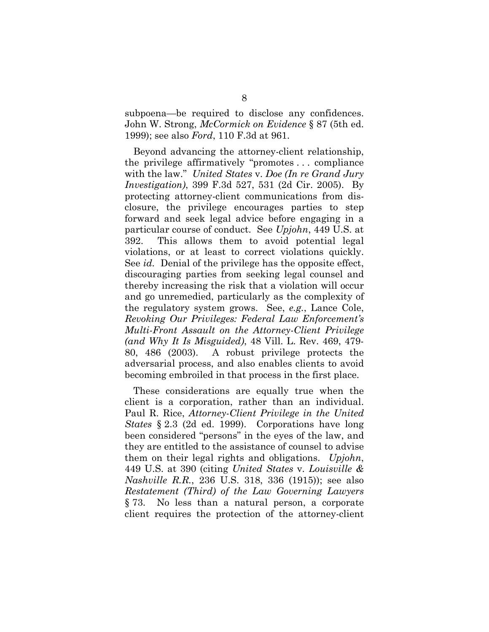subpoena—be required to disclose any confidences. John W. Strong, *McCormick on Evidence* § 87 (5th ed. 1999); see also *Ford*, 110 F.3d at 961.

Beyond advancing the attorney-client relationship, the privilege affirmatively "promotes . . . compliance with the law." *United States* v. *Doe (In re Grand Jury Investigation)*, 399 F.3d 527, 531 (2d Cir. 2005). By protecting attorney-client communications from disclosure, the privilege encourages parties to step forward and seek legal advice before engaging in a particular course of conduct. See *Upjohn*, 449 U.S. at 392. This allows them to avoid potential legal violations, or at least to correct violations quickly. See *id.* Denial of the privilege has the opposite effect, discouraging parties from seeking legal counsel and thereby increasing the risk that a violation will occur and go unremedied, particularly as the complexity of the regulatory system grows. See, *e.g.*, Lance Cole, *Revoking Our Privileges: Federal Law Enforcement's Multi-Front Assault on the Attorney-Client Privilege (and Why It Is Misguided)*, 48 Vill. L. Rev. 469, 479- 80, 486 (2003). A robust privilege protects the adversarial process, and also enables clients to avoid becoming embroiled in that process in the first place.

These considerations are equally true when the client is a corporation, rather than an individual. Paul R. Rice, *Attorney-Client Privilege in the United States* § 2.3 (2d ed. 1999). Corporations have long been considered "persons" in the eyes of the law, and they are entitled to the assistance of counsel to advise them on their legal rights and obligations. *Upjohn*, 449 U.S. at 390 (citing *United States* v. *Louisville & Nashville R.R.*, 236 U.S. 318, 336 (1915)); see also *Restatement (Third) of the Law Governing Lawyers* § 73. No less than a natural person, a corporate client requires the protection of the attorney-client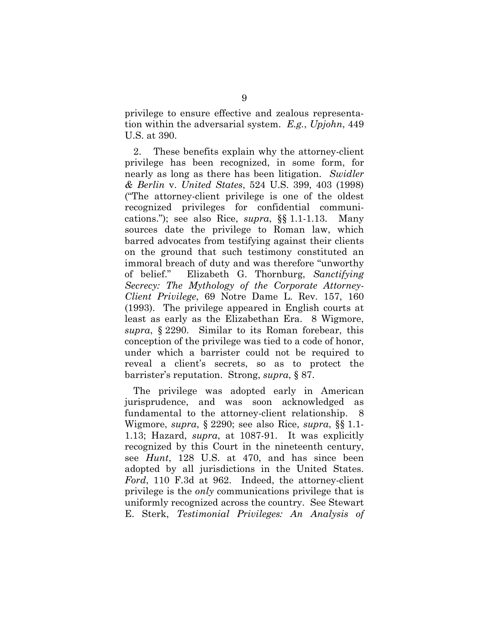privilege to ensure effective and zealous representation within the adversarial system. *E.g.*, *Upjohn*, 449 U.S. at 390.

2. These benefits explain why the attorney-client privilege has been recognized, in some form, for nearly as long as there has been litigation. *Swidler & Berlin* v. *United States*, 524 U.S. 399, 403 (1998) ("The attorney-client privilege is one of the oldest recognized privileges for confidential communications."); see also Rice, *supra*, §§ 1.1-1.13. Many sources date the privilege to Roman law, which barred advocates from testifying against their clients on the ground that such testimony constituted an immoral breach of duty and was therefore "unworthy of belief." Elizabeth G. Thornburg, *Sanctifying Secrecy: The Mythology of the Corporate Attorney-Client Privilege*, 69 Notre Dame L. Rev. 157, 160 (1993). The privilege appeared in English courts at least as early as the Elizabethan Era. 8 Wigmore, *supra*, § 2290. Similar to its Roman forebear, this conception of the privilege was tied to a code of honor, under which a barrister could not be required to reveal a client's secrets, so as to protect the barrister's reputation. Strong, *supra*, § 87.

The privilege was adopted early in American jurisprudence, and was soon acknowledged as fundamental to the attorney-client relationship. 8 Wigmore, *supra*, § 2290; see also Rice, *supra*, §§ 1.1- 1.13; Hazard, *supra*, at 1087-91. It was explicitly recognized by this Court in the nineteenth century, see *Hunt*, 128 U.S. at 470, and has since been adopted by all jurisdictions in the United States. *Ford*, 110 F.3d at 962. Indeed, the attorney-client privilege is the *only* communications privilege that is uniformly recognized across the country. See Stewart E. Sterk, *Testimonial Privileges: An Analysis of*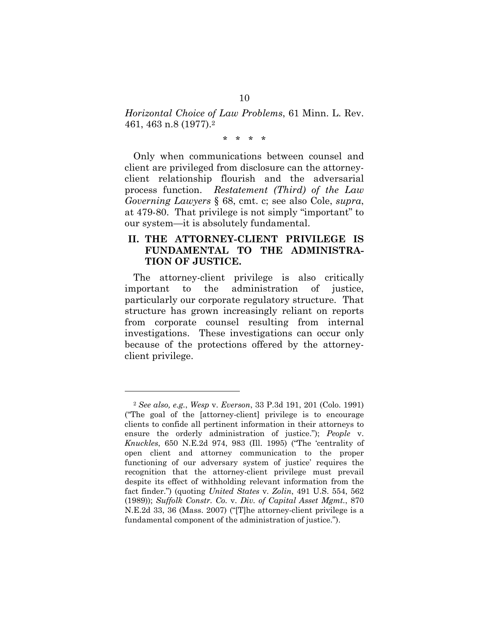*Horizontal Choice of Law Problems*, 61 Minn. L. Rev. 461, 463 n.8 (1977).2

\* \* \* \*

Only when communications between counsel and client are privileged from disclosure can the attorneyclient relationship flourish and the adversarial process function. *Restatement (Third) of the Law Governing Lawyers* § 68, cmt. c; see also Cole, *supra*, at 479-80. That privilege is not simply "important" to our system—it is absolutely fundamental.

### **II. THE ATTORNEY-CLIENT PRIVILEGE IS FUNDAMENTAL TO THE ADMINISTRA-TION OF JUSTICE.**

The attorney-client privilege is also critically important to the administration of justice, particularly our corporate regulatory structure. That structure has grown increasingly reliant on reports from corporate counsel resulting from internal investigations. These investigations can occur only because of the protections offered by the attorneyclient privilege.

l

<sup>2</sup> *See also, e.g.*, *Wesp* v. *Everson*, 33 P.3d 191, 201 (Colo. 1991) ("The goal of the [attorney-client] privilege is to encourage clients to confide all pertinent information in their attorneys to ensure the orderly administration of justice."); *People* v. *Knuckles*, 650 N.E.2d 974, 983 (Ill. 1995) ("The 'centrality of open client and attorney communication to the proper functioning of our adversary system of justice' requires the recognition that the attorney-client privilege must prevail despite its effect of withholding relevant information from the fact finder.") (quoting *United States* v. *Zolin*, 491 U.S. 554, 562 (1989)); *Suffolk Constr. Co.* v. *Div. of Capital Asset Mgmt.*, 870 N.E.2d 33, 36 (Mass. 2007) ("[T]he attorney-client privilege is a fundamental component of the administration of justice.").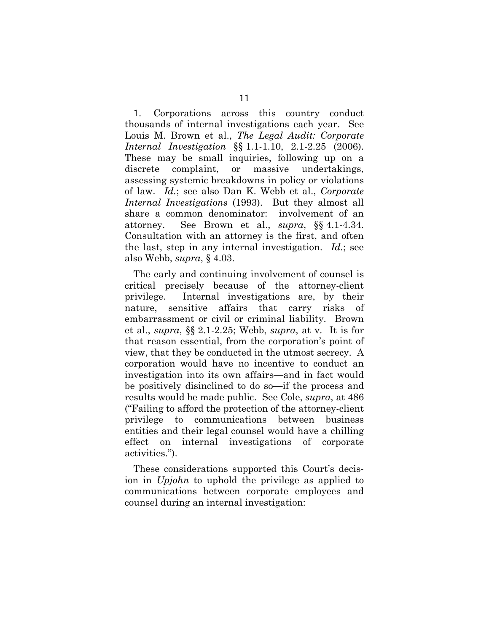1. Corporations across this country conduct thousands of internal investigations each year. See Louis M. Brown et al., *The Legal Audit: Corporate Internal Investigation* §§ 1.1-1.10, 2.1-2.25 (2006). These may be small inquiries, following up on a discrete complaint, or massive undertakings, assessing systemic breakdowns in policy or violations of law. *Id.*; see also Dan K. Webb et al., *Corporate Internal Investigations* (1993). But they almost all share a common denominator: involvement of an attorney. See Brown et al., *supra*, §§ 4.1-4.34. Consultation with an attorney is the first, and often the last, step in any internal investigation. *Id.*; see also Webb, *supra*, § 4.03.

The early and continuing involvement of counsel is critical precisely because of the attorney-client privilege. Internal investigations are, by their nature, sensitive affairs that carry risks of embarrassment or civil or criminal liability. Brown et al., *supra*, §§ 2.1-2.25; Webb, *supra*, at v. It is for that reason essential, from the corporation's point of view, that they be conducted in the utmost secrecy. A corporation would have no incentive to conduct an investigation into its own affairs—and in fact would be positively disinclined to do so—if the process and results would be made public. See Cole, *supra*, at 486 ("Failing to afford the protection of the attorney-client privilege to communications between business entities and their legal counsel would have a chilling effect on internal investigations of corporate activities.").

These considerations supported this Court's decision in *Upjohn* to uphold the privilege as applied to communications between corporate employees and counsel during an internal investigation: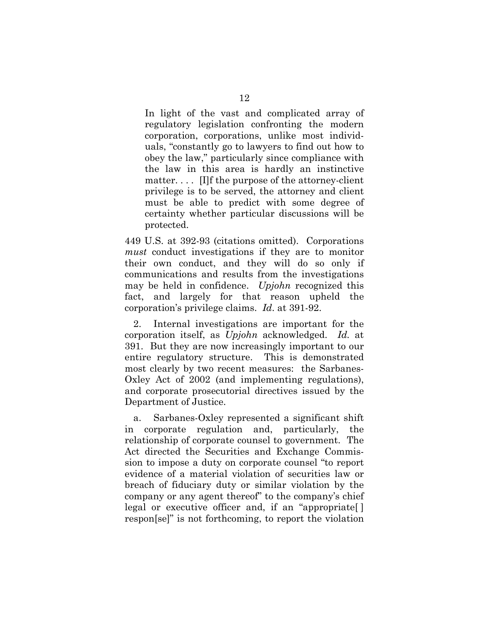In light of the vast and complicated array of regulatory legislation confronting the modern corporation, corporations, unlike most individuals, "constantly go to lawyers to find out how to obey the law," particularly since compliance with the law in this area is hardly an instinctive matter. . . . [I]f the purpose of the attorney-client privilege is to be served, the attorney and client must be able to predict with some degree of certainty whether particular discussions will be protected.

449 U.S. at 392-93 (citations omitted). Corporations *must* conduct investigations if they are to monitor their own conduct, and they will do so only if communications and results from the investigations may be held in confidence. *Upjohn* recognized this fact, and largely for that reason upheld the corporation's privilege claims. *Id*. at 391-92.

2. Internal investigations are important for the corporation itself, as *Upjohn* acknowledged. *Id.* at 391. But they are now increasingly important to our entire regulatory structure. This is demonstrated most clearly by two recent measures: the Sarbanes-Oxley Act of 2002 (and implementing regulations), and corporate prosecutorial directives issued by the Department of Justice.

a. Sarbanes-Oxley represented a significant shift in corporate regulation and, particularly, the relationship of corporate counsel to government. The Act directed the Securities and Exchange Commission to impose a duty on corporate counsel "to report evidence of a material violation of securities law or breach of fiduciary duty or similar violation by the company or any agent thereof" to the company's chief legal or executive officer and, if an "appropriate[ ] respon[se]" is not forthcoming, to report the violation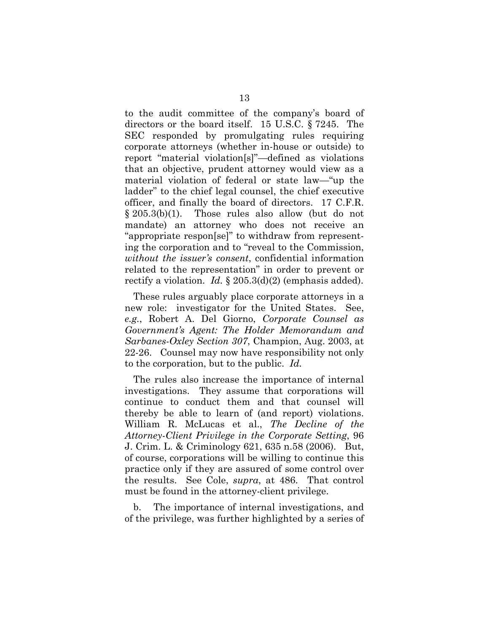to the audit committee of the company's board of directors or the board itself. 15 U.S.C. § 7245. The SEC responded by promulgating rules requiring corporate attorneys (whether in-house or outside) to report "material violation[s]"—defined as violations that an objective, prudent attorney would view as a material violation of federal or state law—"up the ladder" to the chief legal counsel, the chief executive officer, and finally the board of directors. 17 C.F.R. § 205.3(b)(1). Those rules also allow (but do not mandate) an attorney who does not receive an "appropriate respon[se]" to withdraw from representing the corporation and to "reveal to the Commission, *without the issuer's consent*, confidential information related to the representation" in order to prevent or rectify a violation. *Id.* § 205.3(d)(2) (emphasis added).

These rules arguably place corporate attorneys in a new role: investigator for the United States. See, *e.g.*, Robert A. Del Giorno, *Corporate Counsel as Government's Agent: The Holder Memorandum and Sarbanes-Oxley Section 307*, Champion, Aug. 2003, at 22-26. Counsel may now have responsibility not only to the corporation, but to the public. *Id.*

The rules also increase the importance of internal investigations. They assume that corporations will continue to conduct them and that counsel will thereby be able to learn of (and report) violations. William R. McLucas et al., *The Decline of the Attorney-Client Privilege in the Corporate Setting*, 96 J. Crim. L. & Criminology 621, 635 n.58 (2006). But, of course, corporations will be willing to continue this practice only if they are assured of some control over the results. See Cole, *supra*, at 486. That control must be found in the attorney-client privilege.

b. The importance of internal investigations, and of the privilege, was further highlighted by a series of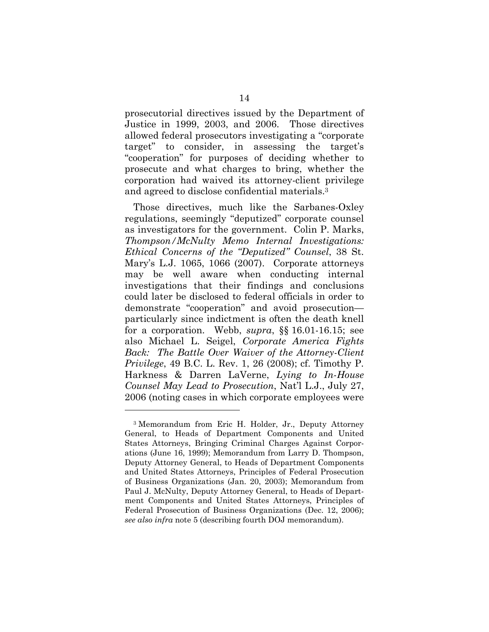prosecutorial directives issued by the Department of Justice in 1999, 2003, and 2006. Those directives allowed federal prosecutors investigating a "corporate target" to consider, in assessing the target's "cooperation" for purposes of deciding whether to prosecute and what charges to bring, whether the corporation had waived its attorney-client privilege and agreed to disclose confidential materials.3

Those directives, much like the Sarbanes-Oxley regulations, seemingly "deputized" corporate counsel as investigators for the government. Colin P. Marks, *Thompson/McNulty Memo Internal Investigations: Ethical Concerns of the "Deputized" Counsel*, 38 St. Mary's L.J. 1065, 1066 (2007). Corporate attorneys may be well aware when conducting internal investigations that their findings and conclusions could later be disclosed to federal officials in order to demonstrate "cooperation" and avoid prosecution particularly since indictment is often the death knell for a corporation. Webb, *supra*, §§ 16.01-16.15; see also Michael L. Seigel, *Corporate America Fights Back: The Battle Over Waiver of the Attorney-Client Privilege*, 49 B.C. L. Rev. 1, 26 (2008); cf. Timothy P. Harkness & Darren LaVerne, *Lying to In-House Counsel May Lead to Prosecution*, Nat'l L.J., July 27, 2006 (noting cases in which corporate employees were

l

<sup>3</sup> Memorandum from Eric H. Holder, Jr., Deputy Attorney General, to Heads of Department Components and United States Attorneys, Bringing Criminal Charges Against Corporations (June 16, 1999); Memorandum from Larry D. Thompson, Deputy Attorney General, to Heads of Department Components and United States Attorneys, Principles of Federal Prosecution of Business Organizations (Jan. 20, 2003); Memorandum from Paul J. McNulty, Deputy Attorney General, to Heads of Department Components and United States Attorneys, Principles of Federal Prosecution of Business Organizations (Dec. 12, 2006); *see also infra* note 5 (describing fourth DOJ memorandum).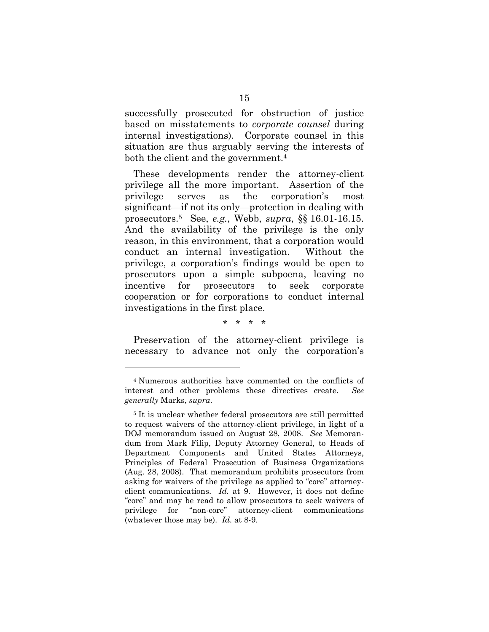successfully prosecuted for obstruction of justice based on misstatements to *corporate counsel* during internal investigations). Corporate counsel in this situation are thus arguably serving the interests of both the client and the government.<sup>4</sup>

These developments render the attorney-client privilege all the more important. Assertion of the privilege serves as the corporation's most significant—if not its only—protection in dealing with prosecutors.5 See, *e.g.*, Webb, *supra*, §§ 16.01-16.15. And the availability of the privilege is the only reason, in this environment, that a corporation would conduct an internal investigation. Without the privilege, a corporation's findings would be open to prosecutors upon a simple subpoena, leaving no incentive for prosecutors to seek corporate cooperation or for corporations to conduct internal investigations in the first place.

\* \* \* \*

Preservation of the attorney-client privilege is necessary to advance not only the corporation's

l

<sup>4</sup> Numerous authorities have commented on the conflicts of interest and other problems these directives create. *See generally* Marks, *supra*.

<sup>&</sup>lt;sup>5</sup> It is unclear whether federal prosecutors are still permitted to request waivers of the attorney-client privilege, in light of a DOJ memorandum issued on August 28, 2008. *See* Memorandum from Mark Filip, Deputy Attorney General, to Heads of Department Components and United States Attorneys, Principles of Federal Prosecution of Business Organizations (Aug. 28, 2008). That memorandum prohibits prosecutors from asking for waivers of the privilege as applied to "core" attorneyclient communications. *Id.* at 9. However, it does not define "core" and may be read to allow prosecutors to seek waivers of privilege for "non-core" attorney-client communications (whatever those may be). *Id.* at 8-9.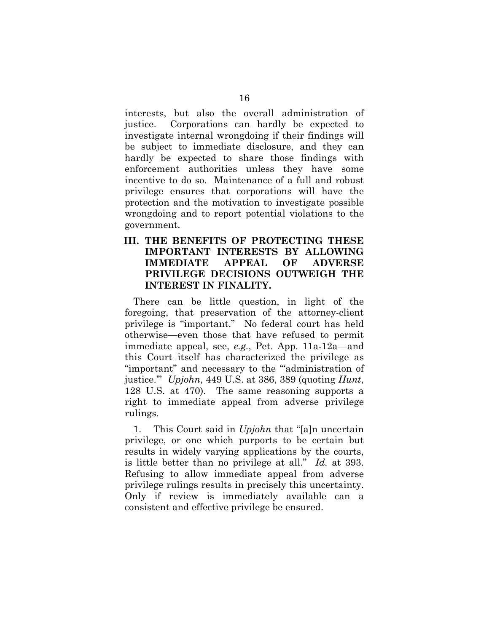interests, but also the overall administration of justice. Corporations can hardly be expected to investigate internal wrongdoing if their findings will be subject to immediate disclosure, and they can hardly be expected to share those findings with enforcement authorities unless they have some incentive to do so. Maintenance of a full and robust privilege ensures that corporations will have the protection and the motivation to investigate possible wrongdoing and to report potential violations to the government.

### **III. THE BENEFITS OF PROTECTING THESE IMPORTANT INTERESTS BY ALLOWING IMMEDIATE APPEAL OF ADVERSE PRIVILEGE DECISIONS OUTWEIGH THE INTEREST IN FINALITY.**

There can be little question, in light of the foregoing, that preservation of the attorney-client privilege is "important." No federal court has held otherwise—even those that have refused to permit immediate appeal, see, *e.g.*, Pet. App. 11a-12a—and this Court itself has characterized the privilege as "important" and necessary to the "'administration of justice.'" *Upjohn*, 449 U.S. at 386, 389 (quoting *Hunt*, 128 U.S. at 470). The same reasoning supports a right to immediate appeal from adverse privilege rulings.

1. This Court said in *Upjohn* that "[a]n uncertain privilege, or one which purports to be certain but results in widely varying applications by the courts, is little better than no privilege at all." *Id.* at 393. Refusing to allow immediate appeal from adverse privilege rulings results in precisely this uncertainty. Only if review is immediately available can a consistent and effective privilege be ensured.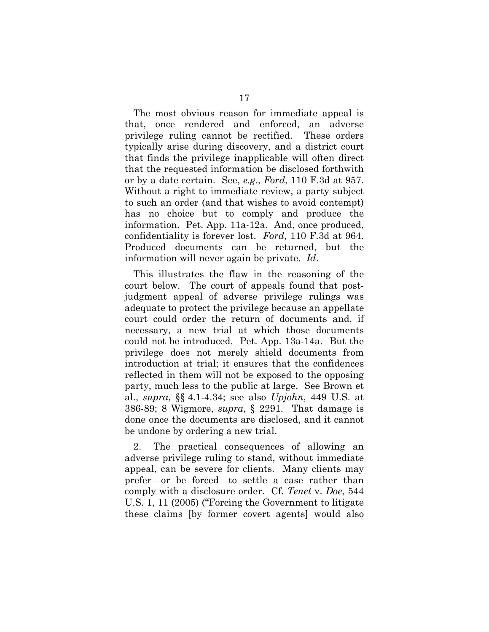The most obvious reason for immediate appeal is that, once rendered and enforced, an adverse privilege ruling cannot be rectified. These orders typically arise during discovery, and a district court that finds the privilege inapplicable will often direct that the requested information be disclosed forthwith or by a date certain. See, *e.g.*, *Ford*, 110 F.3d at 957. Without a right to immediate review, a party subject to such an order (and that wishes to avoid contempt) has no choice but to comply and produce the information. Pet. App. 11a-12a. And, once produced, confidentiality is forever lost. *Ford*, 110 F.3d at 964. Produced documents can be returned, but the information will never again be private. *Id*.

This illustrates the flaw in the reasoning of the court below. The court of appeals found that postjudgment appeal of adverse privilege rulings was adequate to protect the privilege because an appellate court could order the return of documents and, if necessary, a new trial at which those documents could not be introduced. Pet. App. 13a-14a. But the privilege does not merely shield documents from introduction at trial; it ensures that the confidences reflected in them will not be exposed to the opposing party, much less to the public at large. See Brown et al., *supra*, §§ 4.1-4.34; see also *Upjohn*, 449 U.S. at 386-89; 8 Wigmore, *supra*, § 2291. That damage is done once the documents are disclosed, and it cannot be undone by ordering a new trial.

2. The practical consequences of allowing an adverse privilege ruling to stand, without immediate appeal, can be severe for clients. Many clients may prefer—or be forced—to settle a case rather than comply with a disclosure order. Cf. *Tenet* v. *Doe*, 544 U.S. 1, 11 (2005) ("Forcing the Government to litigate these claims [by former covert agents] would also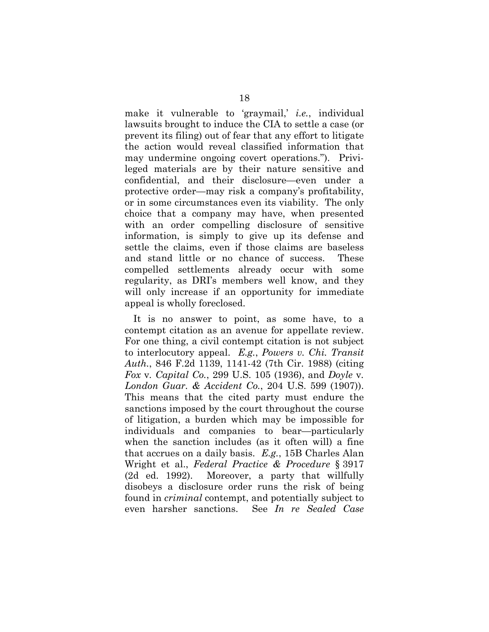make it vulnerable to 'graymail,' *i.e.*, individual lawsuits brought to induce the CIA to settle a case (or prevent its filing) out of fear that any effort to litigate the action would reveal classified information that may undermine ongoing covert operations."). Privileged materials are by their nature sensitive and confidential, and their disclosure—even under a protective order—may risk a company's profitability, or in some circumstances even its viability. The only choice that a company may have, when presented with an order compelling disclosure of sensitive information, is simply to give up its defense and settle the claims, even if those claims are baseless and stand little or no chance of success. These compelled settlements already occur with some regularity, as DRI's members well know, and they will only increase if an opportunity for immediate appeal is wholly foreclosed.

It is no answer to point, as some have, to a contempt citation as an avenue for appellate review. For one thing, a civil contempt citation is not subject to interlocutory appeal. *E.g.*, *Powers v. Chi. Transit Auth.*, 846 F.2d 1139, 1141-42 (7th Cir. 1988) (citing *Fox* v*. Capital Co.*, 299 U.S. 105 (1936), and *Doyle* v*. London Guar. & Accident Co.*, 204 U.S. 599 (1907)). This means that the cited party must endure the sanctions imposed by the court throughout the course of litigation, a burden which may be impossible for individuals and companies to bear—particularly when the sanction includes (as it often will) a fine that accrues on a daily basis. *E.g.*, 15B Charles Alan Wright et al., *Federal Practice & Procedure* § 3917 (2d ed. 1992). Moreover, a party that willfully disobeys a disclosure order runs the risk of being found in *criminal* contempt, and potentially subject to even harsher sanctions. See *In re Sealed Case*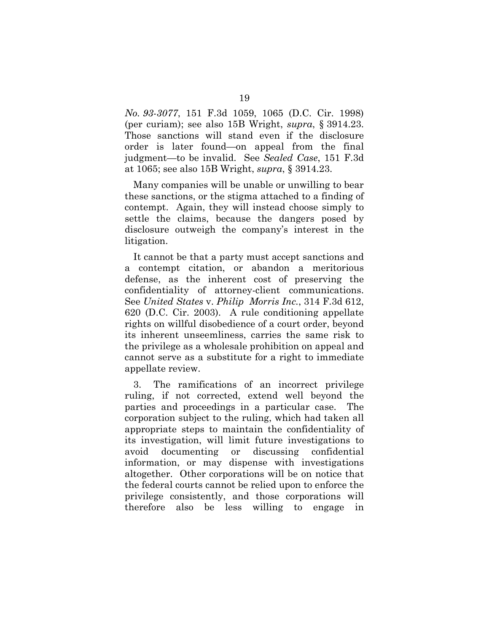*No. 93-3077*, 151 F.3d 1059, 1065 (D.C. Cir. 1998) (per curiam); see also 15B Wright, *supra*, § 3914.23. Those sanctions will stand even if the disclosure order is later found—on appeal from the final judgment—to be invalid. See *Sealed Case*, 151 F.3d at 1065; see also 15B Wright, *supra*, § 3914.23.

Many companies will be unable or unwilling to bear these sanctions, or the stigma attached to a finding of contempt. Again, they will instead choose simply to settle the claims, because the dangers posed by disclosure outweigh the company's interest in the litigation.

It cannot be that a party must accept sanctions and a contempt citation, or abandon a meritorious defense, as the inherent cost of preserving the confidentiality of attorney-client communications. See *United States* v. *Philip Morris Inc.*, 314 F.3d 612, 620 (D.C. Cir. 2003). A rule conditioning appellate rights on willful disobedience of a court order, beyond its inherent unseemliness, carries the same risk to the privilege as a wholesale prohibition on appeal and cannot serve as a substitute for a right to immediate appellate review.

3. The ramifications of an incorrect privilege ruling, if not corrected, extend well beyond the parties and proceedings in a particular case. The corporation subject to the ruling, which had taken all appropriate steps to maintain the confidentiality of its investigation, will limit future investigations to avoid documenting or discussing confidential information, or may dispense with investigations altogether. Other corporations will be on notice that the federal courts cannot be relied upon to enforce the privilege consistently, and those corporations will therefore also be less willing to engage in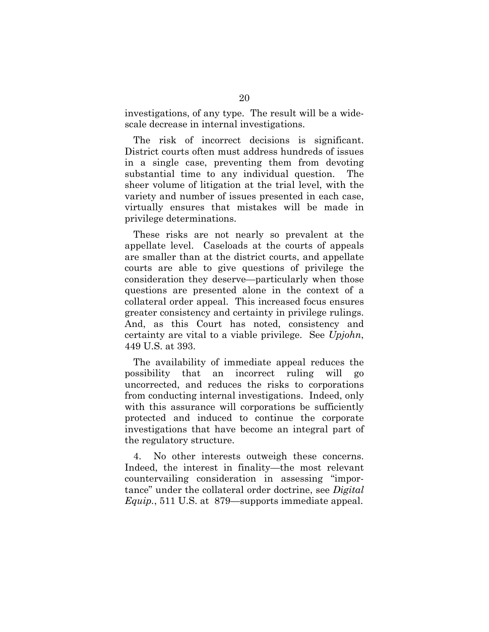investigations, of any type. The result will be a widescale decrease in internal investigations.

The risk of incorrect decisions is significant. District courts often must address hundreds of issues in a single case, preventing them from devoting substantial time to any individual question. The sheer volume of litigation at the trial level, with the variety and number of issues presented in each case, virtually ensures that mistakes will be made in privilege determinations.

These risks are not nearly so prevalent at the appellate level. Caseloads at the courts of appeals are smaller than at the district courts, and appellate courts are able to give questions of privilege the consideration they deserve—particularly when those questions are presented alone in the context of a collateral order appeal. This increased focus ensures greater consistency and certainty in privilege rulings. And, as this Court has noted, consistency and certainty are vital to a viable privilege. See *Upjohn*, 449 U.S. at 393.

The availability of immediate appeal reduces the possibility that an incorrect ruling will go uncorrected, and reduces the risks to corporations from conducting internal investigations. Indeed, only with this assurance will corporations be sufficiently protected and induced to continue the corporate investigations that have become an integral part of the regulatory structure.

4. No other interests outweigh these concerns. Indeed, the interest in finality—the most relevant countervailing consideration in assessing "importance" under the collateral order doctrine, see *Digital Equip.*, 511 U.S. at 879—supports immediate appeal.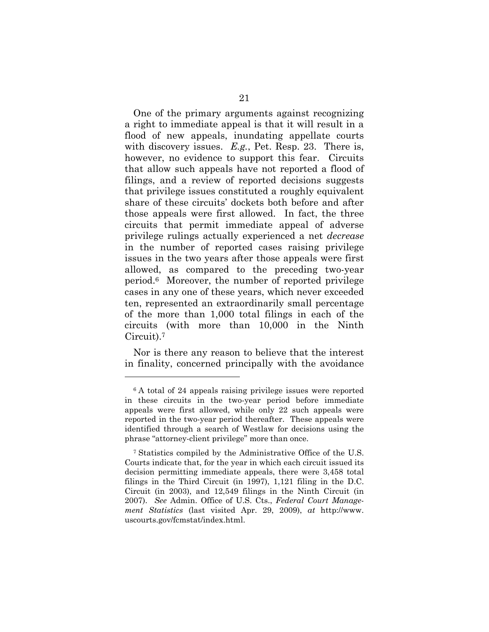One of the primary arguments against recognizing a right to immediate appeal is that it will result in a flood of new appeals, inundating appellate courts with discovery issues. *E.g.*, Pet. Resp. 23. There is, however, no evidence to support this fear. Circuits that allow such appeals have not reported a flood of filings, and a review of reported decisions suggests that privilege issues constituted a roughly equivalent share of these circuits' dockets both before and after those appeals were first allowed. In fact, the three circuits that permit immediate appeal of adverse privilege rulings actually experienced a net *decrease* in the number of reported cases raising privilege issues in the two years after those appeals were first allowed, as compared to the preceding two-year period.6 Moreover, the number of reported privilege cases in any one of these years, which never exceeded ten, represented an extraordinarily small percentage of the more than 1,000 total filings in each of the circuits (with more than 10,000 in the Ninth Circuit).7

Nor is there any reason to believe that the interest in finality, concerned principally with the avoidance

l

<sup>&</sup>lt;sup>6</sup> A total of 24 appeals raising privilege issues were reported in these circuits in the two-year period before immediate appeals were first allowed, while only 22 such appeals were reported in the two-year period thereafter. These appeals were identified through a search of Westlaw for decisions using the phrase "attorney-client privilege" more than once.

<sup>7</sup> Statistics compiled by the Administrative Office of the U.S. Courts indicate that, for the year in which each circuit issued its decision permitting immediate appeals, there were 3,458 total filings in the Third Circuit (in 1997), 1,121 filing in the D.C. Circuit (in 2003), and 12,549 filings in the Ninth Circuit (in 2007). *See* Admin. Office of U.S. Cts., *Federal Court Management Statistics* (last visited Apr. 29, 2009), *at* http://www. uscourts.gov/fcmstat/index.html.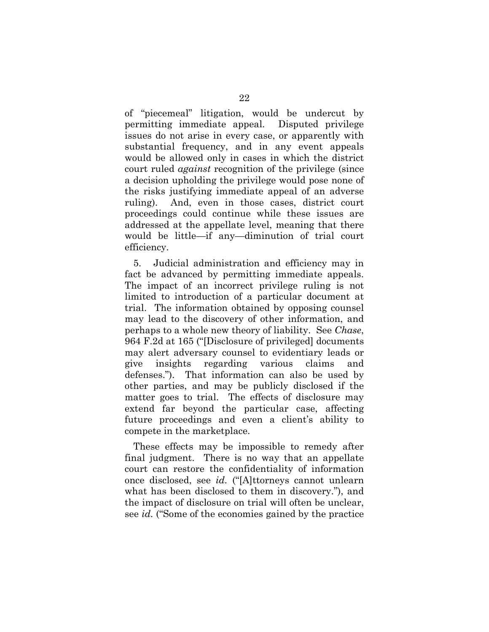of "piecemeal" litigation, would be undercut by permitting immediate appeal. Disputed privilege issues do not arise in every case, or apparently with substantial frequency, and in any event appeals would be allowed only in cases in which the district court ruled *against* recognition of the privilege (since a decision upholding the privilege would pose none of the risks justifying immediate appeal of an adverse ruling). And, even in those cases, district court proceedings could continue while these issues are addressed at the appellate level, meaning that there would be little—if any—diminution of trial court efficiency.

5. Judicial administration and efficiency may in fact be advanced by permitting immediate appeals. The impact of an incorrect privilege ruling is not limited to introduction of a particular document at trial. The information obtained by opposing counsel may lead to the discovery of other information, and perhaps to a whole new theory of liability. See *Chase*, 964 F.2d at 165 ("[Disclosure of privileged] documents may alert adversary counsel to evidentiary leads or give insights regarding various claims and defenses."). That information can also be used by other parties, and may be publicly disclosed if the matter goes to trial. The effects of disclosure may extend far beyond the particular case, affecting future proceedings and even a client's ability to compete in the marketplace.

These effects may be impossible to remedy after final judgment. There is no way that an appellate court can restore the confidentiality of information once disclosed, see *id.* ("[A]ttorneys cannot unlearn what has been disclosed to them in discovery."), and the impact of disclosure on trial will often be unclear, see *id.* ("Some of the economies gained by the practice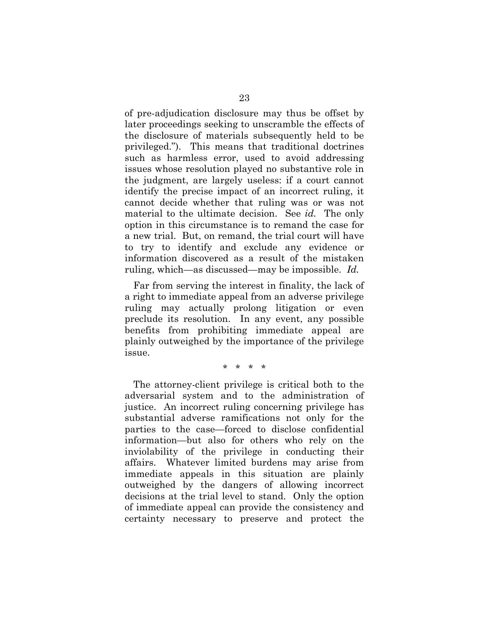of pre-adjudication disclosure may thus be offset by later proceedings seeking to unscramble the effects of the disclosure of materials subsequently held to be privileged."). This means that traditional doctrines such as harmless error, used to avoid addressing issues whose resolution played no substantive role in the judgment, are largely useless: if a court cannot identify the precise impact of an incorrect ruling, it cannot decide whether that ruling was or was not material to the ultimate decision. See *id.* The only option in this circumstance is to remand the case for a new trial. But, on remand, the trial court will have to try to identify and exclude any evidence or information discovered as a result of the mistaken ruling, which—as discussed—may be impossible. *Id.*

Far from serving the interest in finality, the lack of a right to immediate appeal from an adverse privilege ruling may actually prolong litigation or even preclude its resolution. In any event, any possible benefits from prohibiting immediate appeal are plainly outweighed by the importance of the privilege issue.

#### \* \* \* \*

The attorney-client privilege is critical both to the adversarial system and to the administration of justice. An incorrect ruling concerning privilege has substantial adverse ramifications not only for the parties to the case—forced to disclose confidential information—but also for others who rely on the inviolability of the privilege in conducting their affairs. Whatever limited burdens may arise from immediate appeals in this situation are plainly outweighed by the dangers of allowing incorrect decisions at the trial level to stand. Only the option of immediate appeal can provide the consistency and certainty necessary to preserve and protect the